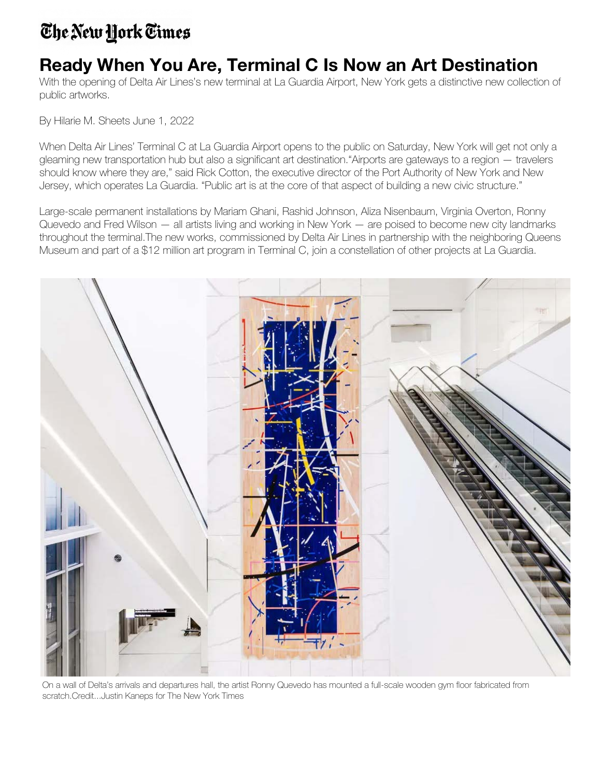## The New York Times

## **Ready When You Are, Terminal C Is Now an Art Destination**

With the opening of Delta Air Lines's new terminal at La Guardia Airport, New York gets a distinctive new collection of public artworks.

By Hilarie M. Sheets June 1, 2022

When Delta Air Lines' Terminal C at La Guardia Airport opens to the public on Saturday, New York will get not only a gleaming new transportation hub but also a significant art destination."Airports are gateways to a region — travelers should know where they are," said Rick Cotton, the executive director of the Port Authority of New York and New Jersey, which operates La Guardia. "Public art is at the core of that aspect of building a new civic structure."

Large-scale permanent installations by Mariam Ghani, Rashid Johnson, Aliza Nisenbaum, Virginia Overton, Ronny Quevedo and Fred Wilson — all artists living and working in New York — are poised to become new city landmarks throughout the terminal.The new works, commissioned by Delta Air Lines in partnership with the neighboring Queens Museum and part of a \$12 million art program in Terminal C, join a constellation of other projects at La Guardia.



On a wall of Delta's arrivals and departures hall, the artist Ronny Quevedo has mounted a full-scale wooden gym floor fabricated from scratch.Credit...Justin Kaneps for The New York Times